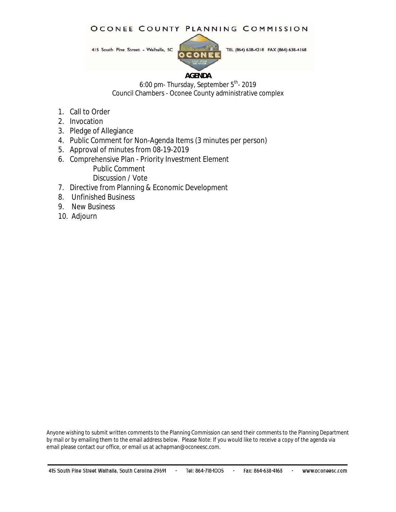#### OCONEE COUNTY PLANNING COMMISSION

415 South Pine Street - Walhalla, SC



TEL (864) 638-4218 FAX (864) 638-4168

#### **AGENDA**

6:00 pm- Thursday, September 5<sup>th</sup>- 2019 Council Chambers - Oconee County administrative complex

- 1. Call to Order
- 2. Invocation
- 3. Pledge of Allegiance
- 4. Public Comment for Non-Agenda Items (3 minutes per person)
- 5. Approval of minutes from 08-19-2019
- 6. Comprehensive Plan Priority Investment Element Public Comment

Discussion / Vote

- 7. Directive from Planning & Economic Development
- 8. Unfinished Business
- 9. New Business
- 10. Adjourn

Anyone wishing to submit written comments to the Planning Commission can send their comments to the Planning Department by mail or by emailing them to the email address below. Please Note: If you would like to receive a copy of the agenda via email please contact our office, or email us at achapman@oconeesc.com.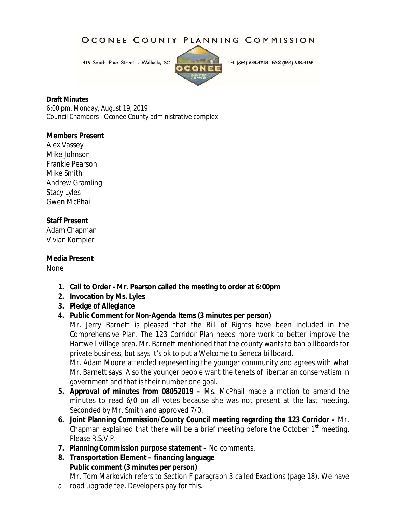### OCONEE COUNTY PLANNING COMMISSION

415 South Pine Street - Walhalla, SC



TEL (864) 638-4218 FAX (864) 638-4168

#### **Draft Minutes**

6:00 pm, Monday, August 19, 2019 Council Chambers - Oconee County administrative complex

#### **Members Present**

Alex Vassey Mike Johnson Frankie Pearson Mike Smith Andrew Gramling Stacy Lyles Gwen McPhail

### **Staff Present**

Adam Chapman Vivian Kompier

**Media Present**

None

- **1. Call to Order - Mr. Pearson called the meeting to order at 6:00pm**
- **2. Invocation by Ms. Lyles**
- **3. Pledge of Allegiance**
- **4. Public Comment for** *Non-Agenda Items* **(3 minutes per person)**

Mr. Jerry Barnett is pleased that the Bill of Rights have been included in the Comprehensive Plan. The 123 Corridor Plan needs more work to better improve the Hartwell Village area. Mr. Barnett mentioned that the county wants to ban billboards for private business, but says it's ok to put a Welcome to Seneca billboard.

Mr. Adam Moore attended representing the younger community and agrees with what Mr. Barnett says. Also the younger people want the tenets of libertarian conservatism in government and that is their number one goal.

- **5. Approval of minutes from 08052019 –** Ms. McPhail made a motion to amend the minutes to read 6/0 on all votes because she was not present at the last meeting. Seconded by Mr. Smith and approved 7/0.
- **6. Joint Planning Commission/County Council meeting regarding the 123 Corridor –** Mr. Chapman explained that there will be a brief meeting before the October  $1<sup>st</sup>$  meeting. Please R.S.V.P.
- **7. Planning Commission purpose statement –** No comments.
- **8. Transportation Element – financing language Public comment (3 minutes per person)**

Mr. Tom Markovich refers to Section F paragraph 3 called Exactions (page 18). We have

a road upgrade fee. Developers pay for this.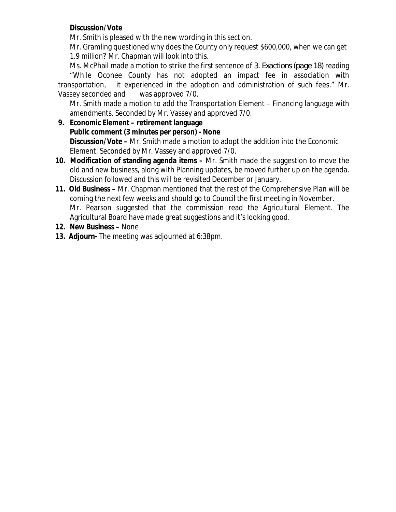### **Discussion/Vote**

Mr. Smith is pleased with the new wording in this section.

Mr. Gramling questioned why does the County only request \$600,000, when we can get 1.9 million? Mr. Chapman will look into this.

Ms. McPhail made a motion to strike the first sentence of *3. Exactions (page 18)* reading "While Oconee County has not adopted an impact fee in association with transportation, it experienced in the adoption and administration of such fees." Mr. Vassey seconded and was approved 7/0.

Mr. Smith made a motion to add the Transportation Element – Financing language with amendments. Seconded by Mr. Vassey and approved 7/0.

- **9. Economic Element – retirement language Public comment (3 minutes per person) - None Discussion/Vote –** Mr. Smith made a motion to adopt the addition into the Economic Element. Seconded by Mr. Vassey and approved 7/0.
- **10. Modification of standing agenda items –** Mr. Smith made the suggestion to move the old and new business, along with Planning updates, be moved further up on the agenda. Discussion followed and this will be revisited December or January.
- **11. Old Business –** Mr. Chapman mentioned that the rest of the Comprehensive Plan will be coming the next few weeks and should go to Council the first meeting in November. Mr. Pearson suggested that the commission read the Agricultural Element. The Agricultural Board have made great suggestions and it's looking good.
- **12. New Business –** None
- **13. Adjourn-** The meeting was adjourned at 6:38pm.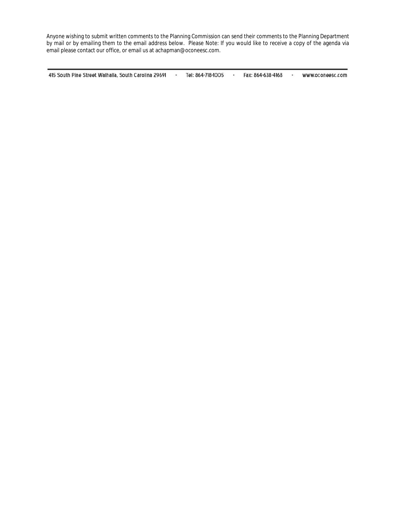Anyone wishing to submit written comments to the Planning Commission can send their comments to the Planning Department by mail or by emailing them to the email address below. Please Note: If you would like to receive a copy of the agenda via email please contact our office, or email us at achapman@oconeesc.com.

415 South Pine Street Walhalla, South Carolina 29691 -Tel: 864-718-1005 -Fax: 864-638-4168 www.oconeesc.com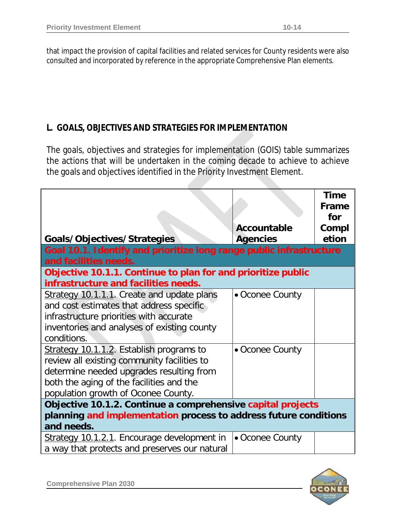that impact the provision of capital facilities and related services for County residents were also consulted and incorporated by reference in the appropriate Comprehensive Plan elements.

## **L. GOALS, OBJECTIVES AND STRATEGIES FOR IMPLEMENTATION**

The goals, objectives and strategies for implementation (GOIS) table summarizes the actions that will be undertaken in the coming decade to achieve to achieve the goals and objectives identified in the Priority Investment Element.

|                                                                                                                                                                                                                        |                 | <b>Time</b><br><b>Frame</b><br>for |  |
|------------------------------------------------------------------------------------------------------------------------------------------------------------------------------------------------------------------------|-----------------|------------------------------------|--|
|                                                                                                                                                                                                                        | Accountable     | Compl                              |  |
| Goals/Objectives/Strategies                                                                                                                                                                                            | <b>Agencies</b> | etion                              |  |
| Goal 10.1. Identify and prioritize long range public infrastructure                                                                                                                                                    |                 |                                    |  |
| and facilities needs.                                                                                                                                                                                                  |                 |                                    |  |
| Objective 10.1.1. Continue to plan for and prioritize public<br>infrastructure and facilities needs.                                                                                                                   |                 |                                    |  |
| Strategy 10.1.1.1. Create and update plans<br>and cost estimates that address specific<br>infrastructure priorities with accurate<br>inventories and analyses of existing county<br>conditions.                        | • Oconee County |                                    |  |
| Strategy 10.1.1.2. Establish programs to<br>review all existing community facilities to<br>determine needed upgrades resulting from<br>both the aging of the facilities and the<br>population growth of Oconee County. | • Oconee County |                                    |  |
| Objective 10.1.2. Continue a comprehensive capital projects<br>planning and implementation process to address future conditions<br>and needs.                                                                          |                 |                                    |  |
| Strategy 10.1.2.1. Encourage development in<br>a way that protects and preserves our natural                                                                                                                           | • Oconee County |                                    |  |

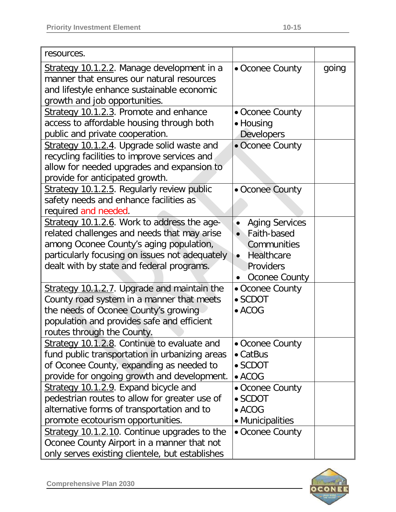| resources.                                                                                                                                                                                                                           |                                                                                                                  |       |
|--------------------------------------------------------------------------------------------------------------------------------------------------------------------------------------------------------------------------------------|------------------------------------------------------------------------------------------------------------------|-------|
| Strategy 10.1.2.2. Manage development in a<br>manner that ensures our natural resources<br>and lifestyle enhance sustainable economic<br>growth and job opportunities.                                                               | • Oconee County                                                                                                  | going |
| Strategy 10.1.2.3. Promote and enhance<br>access to affordable housing through both<br>public and private cooperation.                                                                                                               | • Oconee County<br>• Housing<br><b>Developers</b>                                                                |       |
| Strategy 10.1.2.4. Upgrade solid waste and<br>recycling facilities to improve services and<br>allow for needed upgrades and expansion to<br>provide for anticipated growth.                                                          | • Oconee County                                                                                                  |       |
| Strategy 10.1.2.5. Regularly review public<br>safety needs and enhance facilities as<br>required and needed.                                                                                                                         | • Oconee County                                                                                                  |       |
| Strategy 10.1.2.6. Work to address the age-<br>related challenges and needs that may arise<br>among Oconee County's aging population,<br>particularly focusing on issues not adequately<br>dealt with by state and federal programs. | <b>Aging Services</b><br>$\bullet$<br>• Faith-based<br>Communities<br>• Healthcare<br>Providers<br>Oconee County |       |
| Strategy 10.1.2.7. Upgrade and maintain the<br>County road system in a manner that meets<br>the needs of Oconee County's growing<br>population and provides safe and efficient<br>routes through the County.                         | • Oconee County<br>$\bullet$ SCDOT<br>$\bullet$ ACOG                                                             |       |
| Strategy 10.1.2.8. Continue to evaluate and<br>fund public transportation in urbanizing areas<br>of Oconee County, expanding as needed to<br>provide for ongoing growth and development.                                             | • Oconee County<br>$\bullet$ CatBus<br>$\bullet$ SCDOT<br>$\bullet$ ACOG                                         |       |
| Strategy 10.1.2.9. Expand bicycle and<br>pedestrian routes to allow for greater use of<br>alternative forms of transportation and to<br>promote ecotourism opportunities.                                                            | • Oconee County<br>$\bullet$ SCDOT<br>$\bullet$ ACOG<br>• Municipalities                                         |       |
| Strategy 10.1.2.10. Continue upgrades to the<br>Oconee County Airport in a manner that not<br>only serves existing clientele, but establishes                                                                                        | • Oconee County                                                                                                  |       |

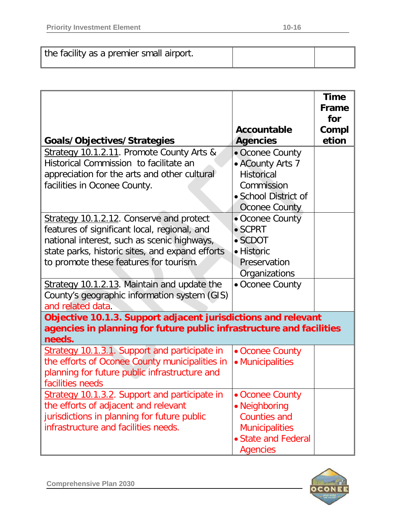| the facility as a premier small airport. |  |
|------------------------------------------|--|
|------------------------------------------|--|

|                                                                                                                                                                                                                                             |                                                                                                                            | <b>Time</b><br>Frame<br>for |
|---------------------------------------------------------------------------------------------------------------------------------------------------------------------------------------------------------------------------------------------|----------------------------------------------------------------------------------------------------------------------------|-----------------------------|
| Goals/Objectives/Strategies                                                                                                                                                                                                                 | Accountable<br><b>Agencies</b>                                                                                             | Compl<br>etion              |
| Strategy 10.1.2.11. Promote County Arts &<br>Historical Commission to facilitate an<br>appreciation for the arts and other cultural<br>facilities in Oconee County.                                                                         | • Oconee County<br>• ACounty Arts 7<br><b>Historical</b><br>Commission<br>• School District of<br><b>Oconee County</b>     |                             |
| <b>Strategy 10.1.2.12. Conserve and protect</b><br>features of significant local, regional, and<br>national interest, such as scenic highways,<br>state parks, historic sites, and expand efforts<br>to promote these features for tourism. | • Oconee County<br>$\bullet$ SCPRT<br>$\bullet$ SCDOT<br>• Historic<br>Preservation<br>Organizations                       |                             |
| Strategy 10.1.2.13. Maintain and update the<br>County's geographic information system (GIS)<br>and related data.                                                                                                                            | • Oconee County                                                                                                            |                             |
| Objective 10.1.3. Support adjacent jurisdictions and relevant<br>agencies in planning for future public infrastructure and facilities<br>needs.                                                                                             |                                                                                                                            |                             |
| Strategy 10.1.3.1. Support and participate in<br>the efforts of Oconee County municipalities in<br>planning for future public infrastructure and<br>facilities needs                                                                        | • Oconee County<br>• Municipalities                                                                                        |                             |
| Strategy 10.1.3.2. Support and participate in<br>the efforts of adjacent and relevant<br>jurisdictions in planning for future public<br>infrastructure and facilities needs.                                                                | • Oconee County<br>• Neighboring<br><b>Counties and</b><br><b>Municipalities</b><br>• State and Federal<br><b>Agencies</b> |                             |

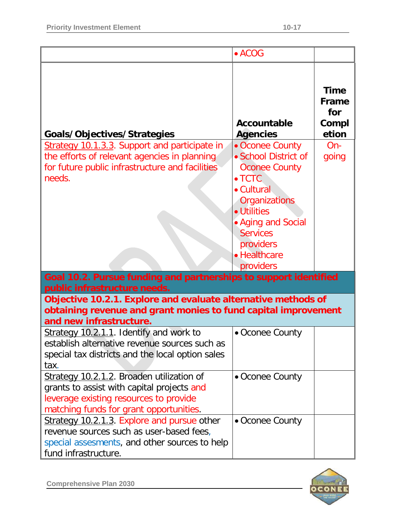|                                                                                                                                                                              | $\bullet$ ACOG                                                                                                                                                                                                     |                                                      |
|------------------------------------------------------------------------------------------------------------------------------------------------------------------------------|--------------------------------------------------------------------------------------------------------------------------------------------------------------------------------------------------------------------|------------------------------------------------------|
| Goals/Objectives/Strategies                                                                                                                                                  | Accountable<br><b>Agencies</b>                                                                                                                                                                                     | <b>Time</b><br><b>Frame</b><br>for<br>Compl<br>etion |
| Strategy 10.1.3.3. Support and participate in<br>the efforts of relevant agencies in planning<br>for future public infrastructure and facilities<br>needs.                   | • Oconee County<br>• School District of<br><b>Oconee County</b><br>$\bullet$ TCTC<br>• Cultural<br>Organizations<br>• Utilities<br>• Aging and Social<br><b>Services</b><br>providers<br>• Healthcare<br>providers | $On-$<br>going                                       |
| Goal 10.2. Pursue funding and partnerships to support identified<br>public infrastructure needs.                                                                             |                                                                                                                                                                                                                    |                                                      |
| Objective 10.2.1. Explore and evaluate alternative methods of<br>obtaining revenue and grant monies to fund capital improvement<br>and new infrastructure.                   |                                                                                                                                                                                                                    |                                                      |
| Strategy 10.2.1.1. Identify and work to<br>establish alternative revenue sources such as<br>special tax districts and the local option sales<br>tax.                         | • Oconee County                                                                                                                                                                                                    |                                                      |
| Strategy 10.2.1.2. Broaden utilization of<br>grants to assist with capital projects and<br>leverage existing resources to provide<br>matching funds for grant opportunities. | • Oconee County                                                                                                                                                                                                    |                                                      |
| Strategy 10.2.1.3. Explore and pursue other<br>revenue sources such as user-based fees,<br>special assesments, and other sources to help<br>fund infrastructure.             | • Oconee County                                                                                                                                                                                                    |                                                      |

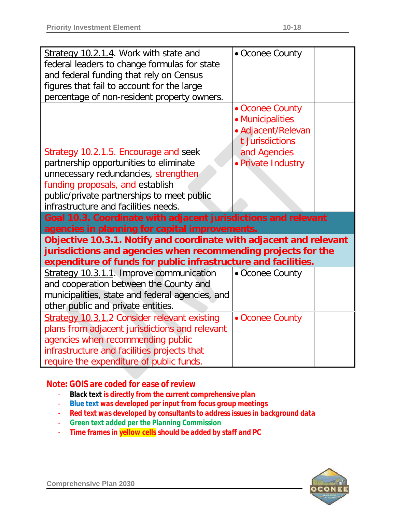| Strategy 10.2.1.4. Work with state and<br>federal leaders to change formulas for state<br>and federal funding that rely on Census<br>figures that fail to account for the large                                                                                                                  | • Oconee County                                                                                                    |
|--------------------------------------------------------------------------------------------------------------------------------------------------------------------------------------------------------------------------------------------------------------------------------------------------|--------------------------------------------------------------------------------------------------------------------|
| percentage of non-resident property owners.<br>Strategy 10.2.1.5. Encourage and seek<br>partnership opportunities to eliminate<br>unnecessary redundancies, strengthen<br>funding proposals, and establish<br>public/private partnerships to meet public<br>infrastructure and facilities needs. | • Oconee County<br>• Municipalities<br>• Adjacent/Relevan<br>t Jurisdictions<br>and Agencies<br>· Private Industry |
| Goal 10.3. Coordinate with adjacent jurisdictions and relevant<br>agencies in planning for capital improvements.                                                                                                                                                                                 |                                                                                                                    |
| Objective 10.3.1. Notify and coordinate with adjacent and relevant<br>jurisdictions and agencies when recommending projects for the<br>expenditure of funds for public infrastructure and facilities.                                                                                            |                                                                                                                    |
| Strategy 10.3.1.1. Improve communication<br>and cooperation between the County and<br>municipalities, state and federal agencies, and<br>other public and private entities.                                                                                                                      | • Oconee County                                                                                                    |
| <b>Strategy 10.3.1.2 Consider relevant existing</b><br>plans from adjacent jurisdictions and relevant<br>agencies when recommending public                                                                                                                                                       | • Oconee County                                                                                                    |

## *Note: GOIS are coded for ease of review*

- *Black text is directly from the current comprehensive plan*
- *Blue text was developed per input from focus group meetings*
- *Red text was developed by consultants to address issues in background data*
- *Green text added per the Planning Commission*
- *Time frames in yellow cells should be added by staff and PC*

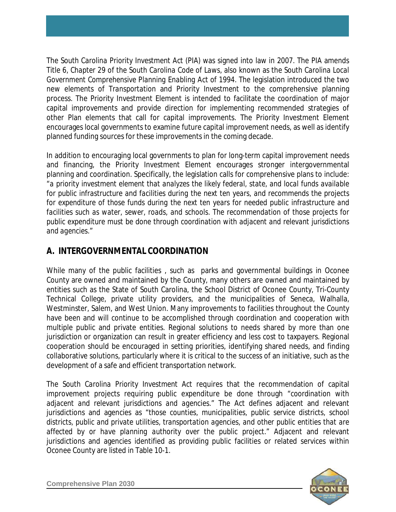The *South Carolina Priority Investment Act* (PIA) was signed into law in 2007. The PIA amends *Title 6*, *Chapter 29* of the *South Carolina Code of Laws*, also known as the *South Carolina Local Government Comprehensive Planning Enabling Act of 1994*. The legislation introduced the two new elements of *Transportation* and *Priority Investment* to the comprehensive planning process. The Priority Investment Element is intended to facilitate the coordination of major capital improvements and provide direction for implementing recommended strategies of other Plan elements that call for capital improvements. The Priority Investment Element encourages local governments to examine future capital improvement needs, as well as identify planned funding sources for these improvements in the coming decade.

In addition to encouraging local governments to plan for long-term capital improvement needs and financing, the Priority Investment Element encourages stronger intergovernmental planning and coordination. Specifically, the legislation calls for comprehensive plans to include: "*a priority investment element that analyzes the likely federal, state, and local funds available for public infrastructure and facilities during the next ten years, and recommends the projects for expenditure of those funds during the next ten years for needed public infrastructure and facilities such as water, sewer, roads, and schools. The recommendation of those projects for public expenditure must be done through coordination with adjacent and relevant jurisdictions and agencies*."

### **A. INTERGOVERNMENTAL COORDINATION**

While many of the public facilities , such as parks and governmental buildings in Oconee County are owned and maintained by the County, many others are owned and maintained by entities such as the State of South Carolina, the School District of Oconee County, Tri-County Technical College, private utility providers, and the municipalities of Seneca, Walhalla, Westminster, Salem, and West Union. Many improvements to facilities throughout the County have been and will continue to be accomplished through coordination and cooperation with multiple public and private entities. Regional solutions to needs shared by more than one jurisdiction or organization can result in greater efficiency and less cost to taxpayers. Regional cooperation should be encouraged in setting priorities, identifying shared needs, and finding collaborative solutions, particularly where it is critical to the success of an initiative, such as the development of a safe and efficient transportation network.

The *South Carolina Priority Investment Act* requires that the recommendation of capital improvement projects requiring public expenditure be done through "*coordination with adjacent and relevant jurisdictions and agencies*." The Act defines adjacent and relevant jurisdictions and agencies as "*those counties, municipalities, public service districts, school districts, public and private utilities, transportation agencies, and other public entities that are affected by or have planning authority over the public project*." Adjacent and relevant jurisdictions and agencies identified as providing public facilities or related services within Oconee County are listed in Table 10-1.

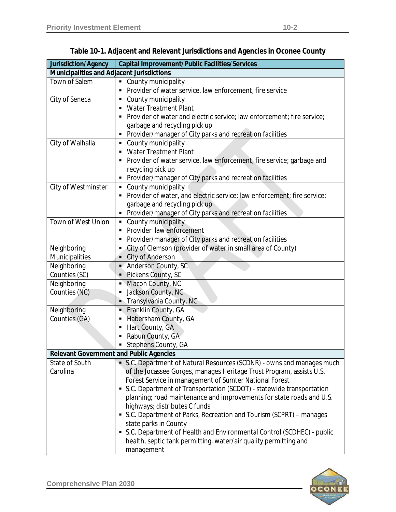| Jurisdiction/Agency                            | <b>Capital Improvement/Public Facilities/Services</b>                                    |
|------------------------------------------------|------------------------------------------------------------------------------------------|
| Municipalities and Adjacent Jurisdictions      |                                                                                          |
| Town of Salem                                  | County municipality<br>$\blacksquare$                                                    |
|                                                | Provider of water service, law enforcement, fire service                                 |
| City of Seneca                                 | County municipality<br>٠                                                                 |
|                                                | <b>Water Treatment Plant</b><br>п                                                        |
|                                                | Provider of water and electric service; law enforcement; fire service;<br>$\blacksquare$ |
|                                                | garbage and recycling pick up                                                            |
|                                                | Provider/manager of City parks and recreation facilities<br>п                            |
| City of Walhalla                               | County municipality<br>٠                                                                 |
|                                                | <b>Water Treatment Plant</b><br>$\blacksquare$                                           |
|                                                | Provider of water service, law enforcement, fire service; garbage and                    |
|                                                | recycling pick up                                                                        |
|                                                | Provider/manager of City parks and recreation facilities<br>п                            |
| City of Westminster                            | • County municipality                                                                    |
|                                                | Provider of water, and electric service; law enforcement; fire service;<br>٠             |
|                                                | garbage and recycling pick up                                                            |
|                                                | Provider/manager of City parks and recreation facilities<br>٠                            |
| <b>Town of West Union</b>                      | • County municipality                                                                    |
|                                                | Provider law enforcement                                                                 |
|                                                | Provider/manager of City parks and recreation facilities<br>п                            |
| Neighboring                                    | City of Clemson (provider of water in small area of County)<br>$\blacksquare$            |
| Municipalities                                 | City of Anderson                                                                         |
| Neighboring                                    | - Anderson County, SC                                                                    |
| Counties (SC)                                  | Pickens County, SC<br>п                                                                  |
| Neighboring                                    | • Macon County, NC                                                                       |
| Counties (NC)                                  | Jackson County, NC<br>٠                                                                  |
|                                                | - Transylvania County, NC                                                                |
| Neighboring                                    | Franklin County, GA<br>в                                                                 |
| Counties (GA)                                  | Habersham County, GA<br>$\blacksquare$                                                   |
|                                                | Hart County, GA<br>Е                                                                     |
|                                                | Rabun County, GA                                                                         |
|                                                | Stephens County, GA                                                                      |
| <b>Relevant Government and Public Agencies</b> |                                                                                          |
| State of South                                 | S.C. Department of Natural Resources (SCDNR) - owns and manages much                     |
| Carolina                                       | of the Jocassee Gorges, manages Heritage Trust Program, assists U.S.                     |
|                                                | Forest Service in management of Sumter National Forest                                   |
|                                                | S.C. Department of Transportation (SCDOT) - statewide transportation                     |
|                                                | planning; road maintenance and improvements for state roads and U.S.                     |
|                                                | highways; distributes C funds                                                            |
|                                                | S.C. Department of Parks, Recreation and Tourism (SCPRT) – manages                       |
|                                                | state parks in County                                                                    |
|                                                | • S.C. Department of Health and Environmental Control (SCDHEC) - public                  |
|                                                | health, septic tank permitting, water/air quality permitting and                         |
|                                                | management                                                                               |

**Table 10-1. Adjacent and Relevant Jurisdictions and Agencies in Oconee County**

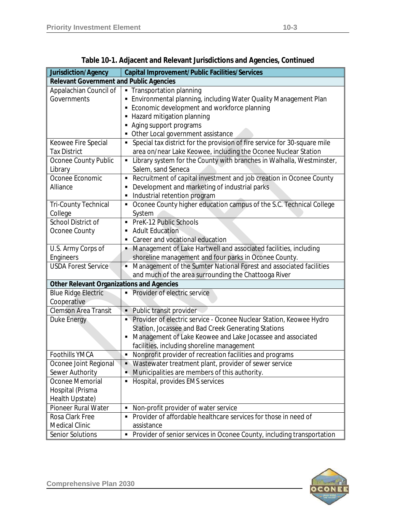| Jurisdiction/Agency                              | Capital Improvement/Public Facilities/Services                                                                                                                                                                                                               |
|--------------------------------------------------|--------------------------------------------------------------------------------------------------------------------------------------------------------------------------------------------------------------------------------------------------------------|
| <b>Relevant Government and Public Agencies</b>   |                                                                                                                                                                                                                                                              |
| Appalachian Council of<br>Governments            | Transportation planning<br>$\blacksquare$<br>Environmental planning, including Water Quality Management Plan<br>Economic development and workforce planning<br>• Hazard mitigation planning<br>Aging support programs<br>• Other Local government assistance |
| Keowee Fire Special                              | Special tax district for the provision of fire service for 30-square mile<br>$\blacksquare$                                                                                                                                                                  |
| <b>Tax District</b>                              | area on/near Lake Keowee, including the Oconee Nuclear Station                                                                                                                                                                                               |
| Oconee County Public<br>Library                  | Library system for the County with branches in Walhalla, Westminster,<br>$\blacksquare$<br>Salem, sand Seneca                                                                                                                                                |
| Oconee Economic<br>Alliance                      | Recruitment of capital investment and job creation in Oconee County<br>Development and marketing of industrial parks<br>Industrial retention program                                                                                                         |
| <b>Tri-County Technical</b><br>College           | Oconee County higher education campus of the S.C. Technical College<br>$\blacksquare$<br>System                                                                                                                                                              |
| School District of                               | PreK-12 Public Schools                                                                                                                                                                                                                                       |
| Oconee County                                    | <b>Adult Education</b><br>٠                                                                                                                                                                                                                                  |
|                                                  | Career and vocational education                                                                                                                                                                                                                              |
| U.S. Army Corps of                               | Management of Lake Hartwell and associated facilities, including                                                                                                                                                                                             |
| Engineers                                        | shoreline management and four parks in Oconee County.                                                                                                                                                                                                        |
| <b>USDA Forest Service</b>                       | Management of the Sumter National Forest and associated facilities<br>$\blacksquare$<br>and much of the area surrounding the Chattooga River                                                                                                                 |
| <b>Other Relevant Organizations and Agencies</b> |                                                                                                                                                                                                                                                              |
| <b>Blue Ridge Electric</b>                       | Provider of electric service<br>×,                                                                                                                                                                                                                           |
| Cooperative                                      |                                                                                                                                                                                                                                                              |
| <b>Clemson Area Transit</b>                      | Public transit provider<br>٠                                                                                                                                                                                                                                 |
| Duke Energy                                      | Provider of electric service - Oconee Nuclear Station, Keowee Hydro                                                                                                                                                                                          |
|                                                  | Station, Jocassee and Bad Creek Generating Stations                                                                                                                                                                                                          |
|                                                  | Management of Lake Keowee and Lake Jocassee and associated                                                                                                                                                                                                   |
|                                                  | facilities, including shoreline management                                                                                                                                                                                                                   |
| <b>Foothills YMCA</b>                            | Nonprofit provider of recreation facilities and programs<br>$\blacksquare$                                                                                                                                                                                   |
| Oconee Joint Regional                            | • Wastewater treatment plant, provider of sewer service                                                                                                                                                                                                      |
| Sewer Authority                                  | Municipalities are members of this authority.                                                                                                                                                                                                                |
| Oconee Memorial<br>Hospital (Prisma              | Hospital, provides EMS services<br>$\blacksquare$                                                                                                                                                                                                            |
| Health Upstate)                                  |                                                                                                                                                                                                                                                              |
| Pioneer Rural Water                              | Non-profit provider of water service                                                                                                                                                                                                                         |
| Rosa Clark Free                                  | Provider of affordable healthcare services for those in need of                                                                                                                                                                                              |
| <b>Medical Clinic</b><br>Senior Solutions        | assistance<br>• Provider of senior services in Oconee County, including transportation                                                                                                                                                                       |
|                                                  |                                                                                                                                                                                                                                                              |

**Table 10-1. Adjacent and Relevant Jurisdictions and Agencies,** *Continued*

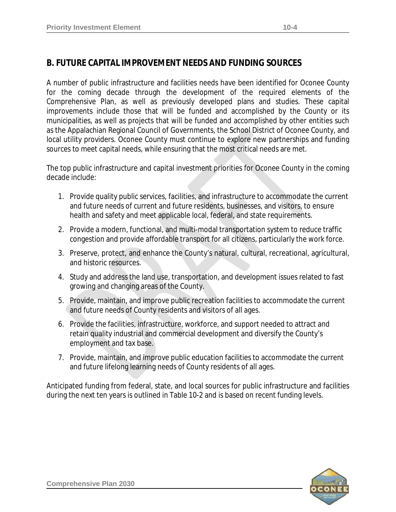### **B. FUTURE CAPITAL IMPROVEMENT NEEDS AND FUNDING SOURCES**

A number of public infrastructure and facilities needs have been identified for Oconee County for the coming decade through the development of the required elements of the Comprehensive Plan, as well as previously developed plans and studies. These capital improvements include those that will be funded and accomplished by the County or its municipalities, as well as projects that will be funded and accomplished by other entities such as the Appalachian Regional Council of Governments, the School District of Oconee County, and local utility providers. Oconee County must continue to explore new partnerships and funding sources to meet capital needs, while ensuring that the most critical needs are met.

The top public infrastructure and capital investment priorities for Oconee County in the coming decade include:

- 1. Provide quality public services, facilities, and infrastructure to accommodate the current and future needs of current and future residents, businesses, and visitors, to ensure health and safety and meet applicable local, federal, and state requirements.
- 2. Provide a modern, functional, and multi-modal transportation system to reduce traffic congestion and provide affordable transport for all citizens, particularly the work force.
- 3. Preserve, protect, and enhance the County's natural, cultural, recreational, agricultural, and historic resources.
- 4. Study and address the land use, transportation, and development issues related to fast growing and changing areas of the County.
- 5. Provide, maintain, and improve public recreation facilities to accommodate the current and future needs of County residents and visitors of all ages.
- 6. Provide the facilities, infrastructure, workforce, and support needed to attract and retain quality industrial and commercial development and diversify the County's employment and tax base.
- 7. Provide, maintain, and improve public education facilities to accommodate the current and future lifelong learning needs of County residents of all ages.

Anticipated funding from federal, state, and local sources for public infrastructure and facilities during the next ten years is outlined in Table 10-2 and is based on recent funding levels.

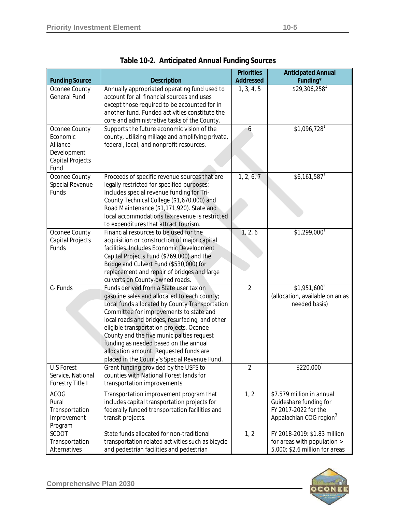|                                                                                  |                                                                                                                                                                                                                                                                                                                                                                                                                                                                    | <b>Priorities</b> | <b>Anticipated Annual</b>                                                                                          |
|----------------------------------------------------------------------------------|--------------------------------------------------------------------------------------------------------------------------------------------------------------------------------------------------------------------------------------------------------------------------------------------------------------------------------------------------------------------------------------------------------------------------------------------------------------------|-------------------|--------------------------------------------------------------------------------------------------------------------|
| <b>Funding Source</b>                                                            | <b>Description</b>                                                                                                                                                                                                                                                                                                                                                                                                                                                 | <b>Addressed</b>  | Funding*                                                                                                           |
| Oconee County<br><b>General Fund</b>                                             | Annually appropriated operating fund used to<br>account for all financial sources and uses<br>except those required to be accounted for in<br>another fund. Funded activities constitute the<br>core and administrative tasks of the County.                                                                                                                                                                                                                       | 1, 3, 4, 5        | $$29,306,258$ <sup>1</sup>                                                                                         |
| Oconee County<br>Economic<br>Alliance<br>Development<br>Capital Projects<br>Fund | Supports the future economic vision of the<br>county, utilizing millage and amplifying private,<br>federal, local, and nonprofit resources.                                                                                                                                                                                                                                                                                                                        | 6                 | $$1,096,728$ <sup>1</sup>                                                                                          |
| Oconee County<br>Special Revenue<br>Funds                                        | Proceeds of specific revenue sources that are<br>legally restricted for specified purposes;<br>Includes special revenue funding for Tri-<br>County Technical College (\$1,670,000) and<br>Road Maintenance (\$1,171,920). State and<br>local accommodations tax revenue is restricted<br>to expenditures that attract tourism.                                                                                                                                     | 1, 2, 6, 7        | $$6,161,587$ <sup>1</sup>                                                                                          |
| Oconee County<br>Capital Projects<br>Funds                                       | Financial resources to be used for the<br>acquisition or construction of major capital<br>facilities. Includes Economic Development<br>Capital Projects Fund (\$769,000) and the<br>Bridge and Culvert Fund (\$530,000) for<br>replacement and repair of bridges and large<br>culverts on County-owned roads.                                                                                                                                                      | 1, 2, 6           | $$1,299,000$ <sup>1</sup>                                                                                          |
| C-Funds                                                                          | Funds derived from a State user tax on<br>gasoline sales and allocated to each county;<br>Local funds allocated by County Transportation<br>Committee for improvements to state and<br>local roads and bridges, resurfacing, and other<br>eligible transportation projects. Oconee<br>County and the five municipalties request<br>funding as needed based on the annual<br>allocation amount. Requested funds are<br>placed in the County's Special Revenue Fund. | $\overline{2}$    | $$1,951,600^2$<br>(allocation, available on an as<br>needed basis)                                                 |
| <b>U.S Forest</b><br>Service, National<br>Forestry Title I                       | Grant funding provided by the USFS to<br>counties with National Forest lands for<br>transportation improvements.                                                                                                                                                                                                                                                                                                                                                   | $\overline{2}$    | $$220,000$ <sup>1</sup>                                                                                            |
| <b>ACOG</b><br>Rural<br>Transportation<br>Improvement<br>Program                 | Transportation improvement program that<br>includes capital transportation projects for<br>federally funded transportation facilities and<br>transit projects.                                                                                                                                                                                                                                                                                                     | 1, 2              | \$7.579 million in annual<br>Guideshare funding for<br>FY 2017-2022 for the<br>Appalachian COG region <sup>3</sup> |
| SCDOT<br>Transportation<br>Alternatives                                          | State funds allocated for non-traditional<br>transportation related activities such as bicycle<br>and pedestrian facilities and pedestrian                                                                                                                                                                                                                                                                                                                         | 1, 2              | FY 2018-2019: \$1.83 million<br>for areas with population ><br>5,000; \$2.6 million for areas                      |

|  | <b>Table 10-2. Anticipated Annual Funding Sources</b> |  |
|--|-------------------------------------------------------|--|
|--|-------------------------------------------------------|--|

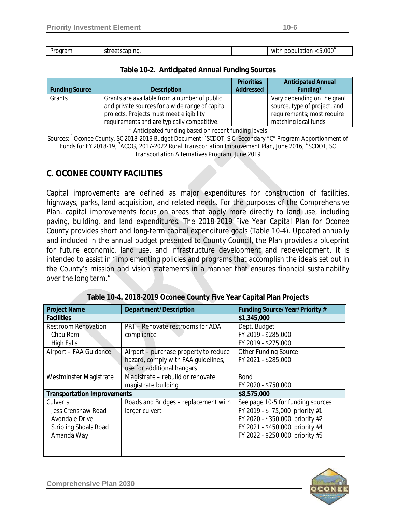| ıaram<br>oar | scaping<br>---<br>--<br>``<br>. | 000″.<br>ppulation<br>non<br>WI1<br>. . |
|--------------|---------------------------------|-----------------------------------------|

### **Table 10-2. Anticipated Annual Funding Sources**

|                       |                                                 | <b>Priorities</b> | <b>Anticipated Annual</b>    |
|-----------------------|-------------------------------------------------|-------------------|------------------------------|
| <b>Funding Source</b> | <b>Description</b>                              | <b>Addressed</b>  | Funding*                     |
| Grants                | Grants are available from a number of public    |                   | Vary depending on the grant  |
|                       | and private sources for a wide range of capital |                   | source, type of project, and |
|                       | projects. Projects must meet eligibility        |                   | requirements; most require   |
|                       | requirements and are typically competitive.     |                   | matching local funds         |

\* Anticipated funding based on recent funding levels

*Sources: 1 Oconee County, SC 2018-2019 Budget Document; 2 SCDOT, S.C. Secondary "C" Program Apportionment of Funds for FY 2018-19; <sup>3</sup> ACOG, 2017-2022 Rural Transportation Improvement Plan, June 2016; <sup>4</sup> SCDOT, SC Transportation Alternatives Program, June 2019*

## **C. OCONEE COUNTY FACILITIES**

Capital improvements are defined as major expenditures for construction of facilities, highways, parks, land acquisition, and related needs. For the purposes of the Comprehensive Plan, capital improvements focus on areas that apply more directly to land use, including paving, building, and land expenditures. The *2018-2019 Five Year Capital Plan for Oconee County* provides short and long-term capital expenditure goals (Table 10-4). Updated annually and included in the annual budget presented to County Council, the Plan provides a blueprint for future economic, land use, and infrastructure development and redevelopment. It is intended to assist in "implementing policies and programs that accomplish the ideals set out in the County's mission and vision statements in a manner that ensures financial sustainability over the long term."

| <b>Project Name</b>                | Department/Description                  | Funding Source/Year/Priority #    |
|------------------------------------|-----------------------------------------|-----------------------------------|
| <b>Facilities</b>                  |                                         | \$1,345,000                       |
| <b>Restroom Renovation</b>         | <b>PRT</b> – Renovate restrooms for ADA | Dept. Budget                      |
| Chau Ram                           | compliance                              | FY 2019 - \$285,000               |
| <b>High Falls</b>                  |                                         | FY 2019 - \$275,000               |
| Airport - FAA Guidance             | Airport – purchase property to reduce   | <b>Other Funding Source</b>       |
|                                    | hazard, comply with FAA guidelines,     | FY 2021 - \$285,000               |
|                                    | use for additional hangars              |                                   |
| Westminster Magistrate             | Magistrate - rebuild or renovate        | <b>Bond</b>                       |
|                                    | magistrate building                     | FY 2020 - \$750,000               |
| <b>Transportation Improvements</b> |                                         | \$8,575,000                       |
| Culverts                           | Roads and Bridges - replacement with    | See page 10-5 for funding sources |
| Jess Crenshaw Road                 | larger culvert                          | FY 2019 - \$75,000 priority #1    |
| Avondale Drive                     |                                         | FY 2020 - \$350,000 priority #2   |
| <b>Stribling Shoals Road</b>       |                                         | FY 2021 - \$450,000 priority #4   |
| Amanda Way                         |                                         | FY 2022 - \$250,000 priority #5   |
|                                    |                                         |                                   |
|                                    |                                         |                                   |

**Table 10-4. 2018-2019 Oconee County Five Year Capital Plan Projects** 

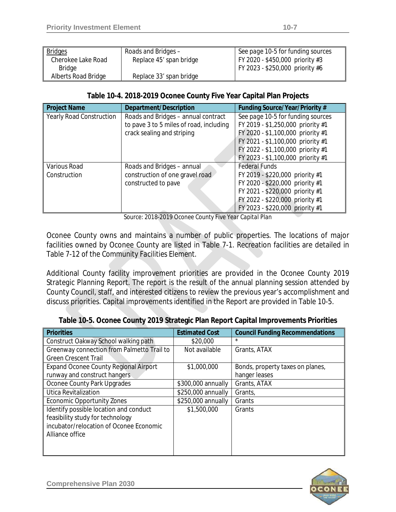| <b>Bridges</b>      | Roads and Bridges-      | See page 10-5 for funding sources |
|---------------------|-------------------------|-----------------------------------|
| Cherokee Lake Road  | Replace 45' span bridge | FY 2020 - \$450,000 priority #3   |
| Bridge              |                         | FY 2023 - \$250,000 priority #6   |
| Alberts Road Bridge | Replace 33' span bridge |                                   |

### **Table 10-4. 2018-2019 Oconee County Five Year Capital Plan Projects**

| <b>Project Name</b>             | Department/Description                  | Funding Source/Year/Priority #    |
|---------------------------------|-----------------------------------------|-----------------------------------|
| <b>Yearly Road Construction</b> | Roads and Bridges - annual contract     | See page 10-5 for funding sources |
|                                 | to pave 3 to 5 miles of road, including | FY 2019 - \$1,250,000 priority #1 |
|                                 | crack sealing and striping              | FY 2020 - \$1,100,000 priority #1 |
|                                 |                                         | FY 2021 - \$1,100,000 priority #1 |
|                                 |                                         | FY 2022 - \$1,100,000 priority #1 |
|                                 |                                         | FY 2023 - \$1,100,000 priority #1 |
| Various Road                    | Roads and Bridges - annual              | <b>Federal Funds</b>              |
| Construction                    | construction of one gravel road         | FY 2019 - \$220,000 priority #1   |
|                                 | constructed to pave                     | FY 2020 - \$220,000 priority #1   |
|                                 |                                         | FY 2021 - \$220,000 priority #1   |
|                                 |                                         | FY 2022 - \$220,000 priority #1   |
|                                 |                                         | FY 2023 - \$220,000 priority #1   |

*Source: 2018-2019 Oconee County Five Year Capital Plan* 

Oconee County owns and maintains a number of public properties. The locations of major facilities owned by Oconee County are listed in Table 7-1. Recreation facilities are detailed in Table 7-12 of the *Community Facilities Element*.

Additional County facility improvement priorities are provided in the *Oconee County 2019 Strategic Planning Report*. The report is the result of the annual planning session attended by County Council, staff, and interested citizens to review the previous year's accomplishment and discuss priorities. Capital improvements identified in the Report are provided in Table 10-5.

| <b>Priorities</b>                            | <b>Estimated Cost</b> | <b>Council Funding Recommendations</b> |
|----------------------------------------------|-----------------------|----------------------------------------|
| Construct Oakway School walking path         | \$20,000              | $\star$                                |
| Greenway connection from Palmetto Trail to   | Not available         | Grants, ATAX                           |
| <b>Green Crescent Trail</b>                  |                       |                                        |
| <b>Expand Oconee County Regional Airport</b> | \$1,000,000           | Bonds, property taxes on planes,       |
| runway and construct hangers                 |                       | hanger leases                          |
| Oconee County Park Upgrades                  | \$300,000 annually    | Grants, ATAX                           |
| Utica Revitalization                         | \$250,000 annually    | Grants,                                |
| <b>Economic Opportunity Zones</b>            | \$250,000 annually    | Grants                                 |
| Identify possible location and conduct       | \$1,500,000           | Grants                                 |
| feasibility study for technology             |                       |                                        |
| incubator/relocation of Oconee Economic      |                       |                                        |
| Alliance office                              |                       |                                        |
|                                              |                       |                                        |
|                                              |                       |                                        |

#### **Table 10-5. Oconee County 2019 Strategic Plan Report Capital Improvements Priorities**

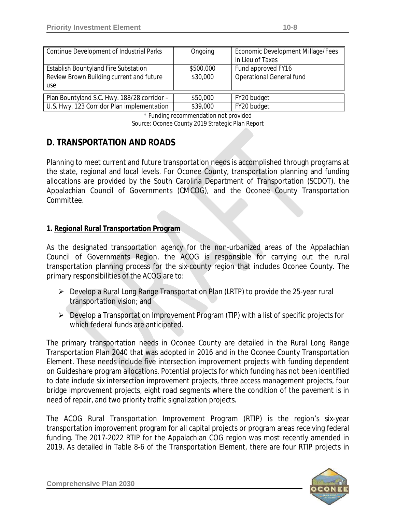| Continue Development of Industrial Parks    | Ongoing   | Economic Development Millage/Fees<br>in Lieu of Taxes |
|---------------------------------------------|-----------|-------------------------------------------------------|
| <b>Establish Bountyland Fire Substation</b> | \$500,000 | Fund approved FY16                                    |
| Review Brown Building current and future    | \$30,000  | <b>Operational General fund</b>                       |
| use                                         |           |                                                       |
| Plan Bountyland S.C. Hwy. 188/28 corridor - | \$50,000  | FY20 budget                                           |
| U.S. Hwy. 123 Corridor Plan implementation  | \$39,000  | FY20 budget                                           |

\* Funding recommendation not provided *Source: Oconee County 2019 Strategic Plan Report*

### **D. TRANSPORTATION AND ROADS**

Planning to meet current and future transportation needs is accomplished through programs at the state, regional and local levels. For Oconee County, transportation planning and funding allocations are provided by the South Carolina Department of Transportation (SCDOT), the Appalachian Council of Governments (CMCOG), and the Oconee County Transportation Committee.

### **1. Regional Rural Transportation Program**

As the designated transportation agency for the non-urbanized areas of the Appalachian Council of Governments Region, the ACOG is responsible for carrying out the rural transportation planning process for the six-county region that includes Oconee County. The primary responsibilities of the ACOG are to:

- Develop a *Rural Long Range Transportation Plan* (LRTP) to provide the 25-year rural transportation vision; and
- Develop a Transportation Improvement Program (TIP) with a list of specific projects for which federal funds are anticipated.

The primary transportation needs in Oconee County are detailed in the *Rural Long Range Transportation Plan 2040* that was adopted in 2016 and in the Oconee County *Transportation Element*. These needs include five intersection improvement projects with funding dependent on Guideshare program allocations. Potential projects for which funding has not been identified to date include six intersection improvement projects, three access management projects, four bridge improvement projects, eight road segments where the condition of the pavement is in need of repair, and two priority traffic signalization projects.

The *ACOG Rural Transportation Improvement Program (RTIP)* is the region's six-year transportation improvement program for all capital projects or program areas receiving federal funding. The *2017-2022 RTIP* for the Appalachian COG region was most recently amended in 2019. As detailed in Table 8-6 of the Transportation Element, there are four RTIP projects in

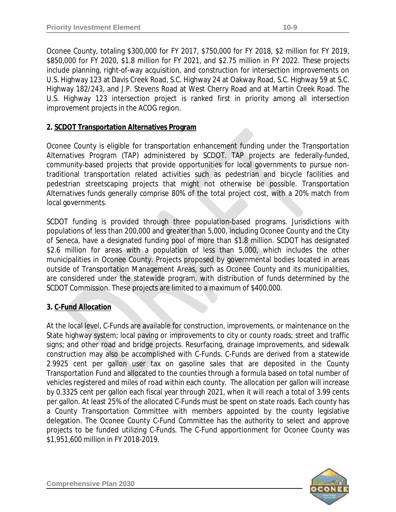Oconee County, totaling \$300,000 for FY 2017, \$750,000 for FY 2018, \$2 million for FY 2019, \$850,000 for FY 2020, \$1.8 million for FY 2021, and \$2.75 million in FY 2022. These projects include planning, right-of-way acquisition, and construction for intersection improvements on U.S. Highway 123 at Davis Creek Road, S.C. Highway 24 at Oakway Road, S.C. Highway 59 at S.C. Highway 182/243, and J.P. Stevens Road at West Cherry Road and at Martin Creek Road. The U.S. Highway 123 intersection project is ranked first in priority among all intersection improvement projects in the ACOG region.

### **2. SCDOT Transportation Alternatives Program**

Oconee County is eligible for transportation enhancement funding under the *Transportation Alternatives Program (TAP)* administered by SCDOT. TAP projects are federally-funded, community-based projects that provide opportunities for local governments to pursue nontraditional transportation related activities such as pedestrian and bicycle facilities and pedestrian streetscaping projects that might not otherwise be possible. Transportation Alternatives funds generally comprise 80% of the total project cost, with a 20% match from local governments.

SCDOT funding is provided through three population-based programs. Jurisdictions with populations of less than 200,000 and greater than 5,000, including Oconee County and the City of Seneca, have a designated funding pool of more than \$1.8 million. SCDOT has designated \$2.6 million for areas with a population of less than 5,000, which includes the other municipalities in Oconee County. Projects proposed by governmental bodies located in areas outside of Transportation Management Areas, such as Oconee County and its municipalities, are considered under the statewide program, with distribution of funds determined by the SCDOT Commission. These projects are limited to a maximum of \$400,000.

### **3. C-Fund Allocation**

At the local level, C-Funds are available for construction, improvements, or maintenance on the State highway system; local paving or improvements to city or county roads; street and traffic signs; and other road and bridge projects. Resurfacing, drainage improvements, and sidewalk construction may also be accomplished with C-Funds. C-Funds are derived from a statewide 2.9925 cent per gallon user tax on gasoline sales that are deposited in the County Transportation Fund and allocated to the counties through a formula based on total number of vehicles registered and miles of road within each county. The allocation per gallon will increase by 0.3325 cent per gallon each fiscal year through 2021, when it will reach a total of 3.99 cents per gallon. At least 25% of the allocated C-Funds must be spent on state roads. Each county has a *County Transportation Committee* with members appointed by the county legislative delegation. The Oconee County C-Fund Committee has the authority to select and approve projects to be funded utilizing C-Funds. The C-Fund apportionment for Oconee County was \$1,951,600 million in FY 2018-2019.

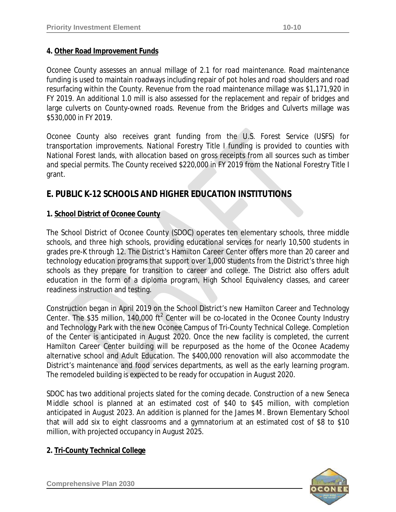### **4. Other Road Improvement Funds**

Oconee County assesses an annual millage of 2.1 for *road maintenance*. Road maintenance funding is used to maintain roadways including repair of pot holes and road shoulders and road resurfacing within the County. Revenue from the road maintenance millage was \$1,171,920 in FY 2019. An additional 1.0 mill is also assessed for the replacement and repair of bridges and large culverts on County-owned roads. Revenue from the *Bridges and Culverts* millage was \$530,000 in FY 2019.

Oconee County also receives grant funding from the U.S. Forest Service (USFS) for transportation improvements. *National Forestry Title I* funding is provided to counties with National Forest lands, with allocation based on gross receipts from all sources such as timber and special permits. The County received \$220,000 in FY 2019 from the National Forestry Title I grant.

### **E. PUBLIC K-12 SCHOOLS AND HIGHER EDUCATION INSTITUTIONS**

### **1. School District of Oconee County**

The School District of Oconee County (SDOC) operates ten elementary schools, three middle schools, and three high schools, providing educational services for nearly 10,500 students in grades pre-K through 12. The District's Hamilton Career Center offers more than 20 career and technology education programs that support over 1,000 students from the District's three high schools as they prepare for transition to career and college. The District also offers adult education in the form of a diploma program, High School Equivalency classes, and career readiness instruction and testing.

Construction began in April 2019 on the School District's new Hamilton Career and Technology Center. The \$35 million, 140,000 ft<sup>2</sup> Center will be co-located in the Oconee County Industry and Technology Park with the new Oconee Campus of Tri-County Technical College. Completion of the Center is anticipated in August 2020. Once the new facility is completed, the current Hamilton Career Center building will be repurposed as the home of the Oconee Academy alternative school and Adult Education. The \$400,000 renovation will also accommodate the District's maintenance and food services departments, as well as the early learning program. The remodeled building is expected to be ready for occupation in August 2020.

SDOC has two additional projects slated for the coming decade. Construction of a new Seneca Middle school is planned at an estimated cost of \$40 to \$45 million, with completion anticipated in August 2023. An addition is planned for the James M. Brown Elementary School that will add six to eight classrooms and a gymnatorium at an estimated cost of \$8 to \$10 million, with projected occupancy in August 2025.

### **2. Tri-County Technical College**

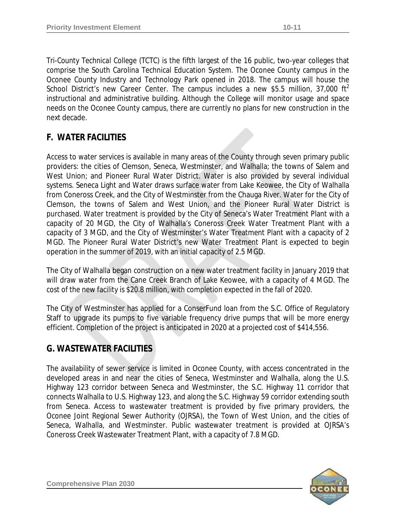*Tri-County Technical College* (TCTC) is the fifth largest of the 16 public, two-year colleges that comprise the South Carolina Technical Education System. The Oconee County campus in the Oconee County Industry and Technology Park opened in 2018. The campus will house the School District's new Career Center. The campus includes a new \$5.5 million, 37,000 ft<sup>2</sup> instructional and administrative building. Although the College will monitor usage and space needs on the Oconee County campus, there are currently no plans for new construction in the next decade.

## **F. WATER FACILITIES**

Access to water services is available in many areas of the County through seven primary public providers: the cities of Clemson, Seneca, Westminster, and Walhalla; the towns of Salem and West Union; and Pioneer Rural Water District. Water is also provided by several individual systems. Seneca Light and Water draws surface water from Lake Keowee, the City of Walhalla from Coneross Creek, and the City of Westminster from the Chauga River. Water for the City of Clemson, the towns of Salem and West Union, and the Pioneer Rural Water District is purchased. Water treatment is provided by the City of Seneca's Water Treatment Plant with a capacity of 20 MGD, the City of Walhalla's Coneross Creek Water Treatment Plant with a capacity of 3 MGD, and the City of Westminster's Water Treatment Plant with a capacity of 2 MGD. The Pioneer Rural Water District's new Water Treatment Plant is expected to begin operation in the summer of 2019, with an initial capacity of 2.5 MGD.

The City of Walhalla began construction on a new water treatment facility in January 2019 that will draw water from the Cane Creek Branch of Lake Keowee, with a capacity of 4 MGD. The cost of the new facility is \$20.8 million, with completion expected in the fall of 2020.

The City of Westminster has applied for a ConserFund loan from the S.C. Office of Regulatory Staff to upgrade its pumps to five variable frequency drive pumps that will be more energy efficient. Completion of the project is anticipated in 2020 at a projected cost of \$414,556.

# **G. WASTEWATER FACILITIES**

The availability of sewer service is limited in Oconee County, with access concentrated in the developed areas in and near the cities of Seneca, Westminster and Walhalla, along the U.S. Highway 123 corridor between Seneca and Westminster, the S.C. Highway 11 corridor that connects Walhalla to U.S. Highway 123, and along the S.C. Highway 59 corridor extending south from Seneca. Access to wastewater treatment is provided by five primary providers, the Oconee Joint Regional Sewer Authority (OJRSA), the Town of West Union, and the cities of Seneca, Walhalla, and Westminster. Public wastewater treatment is provided at OJRSA's Coneross Creek Wastewater Treatment Plant, with a capacity of 7.8 MGD.

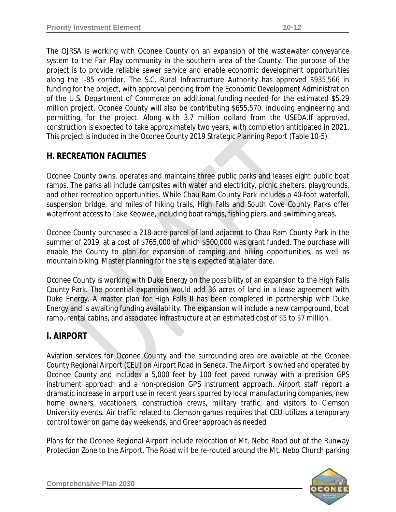The OJRSA is working with Oconee County on an expansion of the wastewater conveyance system to the Fair Play community in the southern area of the County. The purpose of the project is to provide reliable sewer service and enable economic development opportunities along the I-85 corridor. The S.C. Rural Infrastructure Authority has approved \$935,566 in funding for the project, with approval pending from the Economic Development Administration of the U.S. Department of Commerce on additional funding needed for the estimated \$5.29 million project. Oconee County will also be contributing \$655,570, including engineering and permitting, for the project. Along with 3.7 million dollard from the USEDA.If approved, construction is expected to take approximately two years, with completion anticipated in 2021. This project is included in the *Oconee County 2019 Strategic Planning Report* (Table 10-5)*.*

## **H. RECREATION FACILITIES**

Oconee County owns, operates and maintains three public parks and leases eight public boat ramps. The parks all include campsites with water and electricity, picnic shelters, playgrounds, and other recreation opportunities. While Chau Ram County Park includes a 40-foot waterfall, suspension bridge, and miles of hiking trails, High Falls and South Cove County Parks offer waterfront access to Lake Keowee, including boat ramps, fishing piers, and swimming areas.

Oconee County purchased a 218-acre parcel of land adjacent to Chau Ram County Park in the summer of 2019, at a cost of \$765,000 of which \$500,000 was grant funded. The purchase will enable the County to plan for expansion of camping and hiking opportunities, as well as mountain biking. Master planning for the site is expected at a later date.

Oconee County is working with Duke Energy on the possibility of an expansion to the High Falls County Park. The potential expansion would add 36 acres of land in a lease agreement with Duke Energy. A master plan for High Falls II has been completed in partnership with Duke Energy and is awaiting funding availability. The expansion will include a new campground, boat ramp, rental cabins, and associated infrastructure at an estimated cost of \$5 to \$7 million.

## **I. AIRPORT**

Aviation services for Oconee County and the surrounding area are available at the Oconee County Regional Airport (CEU) on Airport Road in Seneca. The Airport is owned and operated by Oconee County and includes a 5,000 feet by 100 feet paved runway with a precision GPS instrument approach and a non-precision GPS instrument approach. Airport staff report a dramatic increase in airport use in recent years spurred by local manufacturing companies, new home owners, vacationers, construction crews, military traffic, and visitors to Clemson University events. Air traffic related to Clemson games requires that CEU utilizes a temporary control tower on game day weekends, and Greer approach as needed

Plans for the Oconee Regional Airport include relocation of Mt. Nebo Road out of the Runway Protection Zone to the Airport. The Road will be re-routed around the Mt. Nebo Church parking